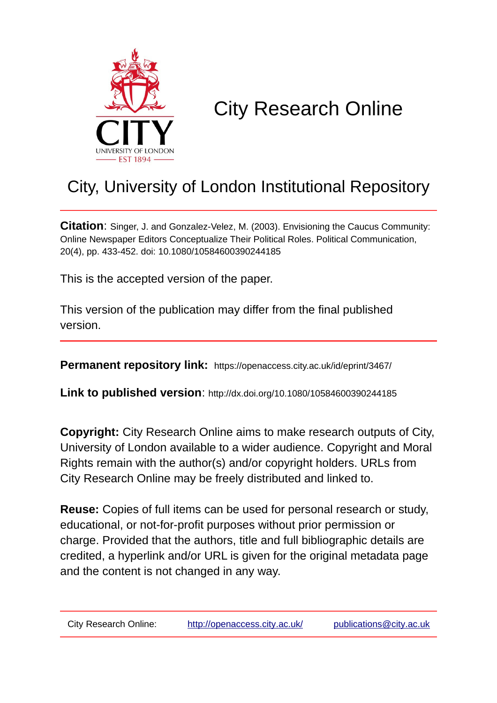

# City Research Online

## City, University of London Institutional Repository

**Citation**: Singer, J. and Gonzalez-Velez, M. (2003). Envisioning the Caucus Community: Online Newspaper Editors Conceptualize Their Political Roles. Political Communication, 20(4), pp. 433-452. doi: 10.1080/10584600390244185

This is the accepted version of the paper.

This version of the publication may differ from the final published version.

**Permanent repository link:** https://openaccess.city.ac.uk/id/eprint/3467/

**Link to published version**: http://dx.doi.org/10.1080/10584600390244185

**Copyright:** City Research Online aims to make research outputs of City, University of London available to a wider audience. Copyright and Moral Rights remain with the author(s) and/or copyright holders. URLs from City Research Online may be freely distributed and linked to.

**Reuse:** Copies of full items can be used for personal research or study, educational, or not-for-profit purposes without prior permission or charge. Provided that the authors, title and full bibliographic details are credited, a hyperlink and/or URL is given for the original metadata page and the content is not changed in any way.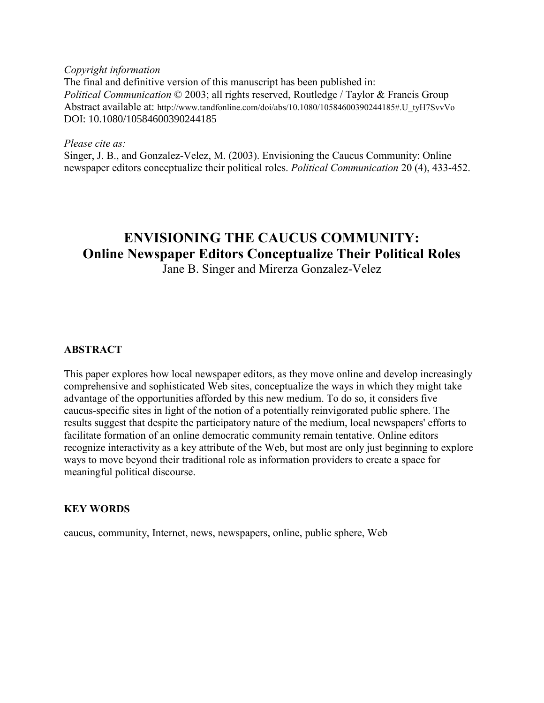#### *Copyright information*

The final and definitive version of this manuscript has been published in: *Political Communication* © 2003; all rights reserved, Routledge / Taylor & Francis Group Abstract available at: http://www.tandfonline.com/doi/abs/10.1080/10584600390244185#.U\_tyH7SvvVo DOI: 10.1080/10584600390244185

#### *Please cite as:*

Singer, J. B., and Gonzalez-Velez, M. (2003). Envisioning the Caucus Community: Online newspaper editors conceptualize their political roles. *Political Communication* 20 (4), 433-452.

## **ENVISIONING THE CAUCUS COMMUNITY: Online Newspaper Editors Conceptualize Their Political Roles**

Jane B. Singer and Mirerza Gonzalez-Velez

#### **ABSTRACT**

This paper explores how local newspaper editors, as they move online and develop increasingly comprehensive and sophisticated Web sites, conceptualize the ways in which they might take advantage of the opportunities afforded by this new medium. To do so, it considers five caucus-specific sites in light of the notion of a potentially reinvigorated public sphere. The results suggest that despite the participatory nature of the medium, local newspapers' efforts to facilitate formation of an online democratic community remain tentative. Online editors recognize interactivity as a key attribute of the Web, but most are only just beginning to explore ways to move beyond their traditional role as information providers to create a space for meaningful political discourse.

#### **KEY WORDS**

caucus, community, Internet, news, newspapers, online, public sphere, Web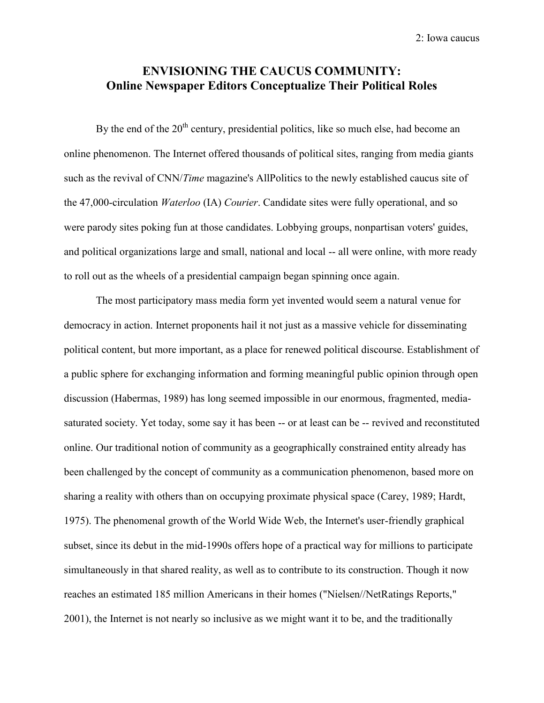## **ENVISIONING THE CAUCUS COMMUNITY: Online Newspaper Editors Conceptualize Their Political Roles**

By the end of the  $20<sup>th</sup>$  century, presidential politics, like so much else, had become an online phenomenon. The Internet offered thousands of political sites, ranging from media giants such as the revival of CNN/*Time* magazine's AllPolitics to the newly established caucus site of the 47,000-circulation *Waterloo* (IA) *Courier*. Candidate sites were fully operational, and so were parody sites poking fun at those candidates. Lobbying groups, nonpartisan voters' guides, and political organizations large and small, national and local -- all were online, with more ready to roll out as the wheels of a presidential campaign began spinning once again.

The most participatory mass media form yet invented would seem a natural venue for democracy in action. Internet proponents hail it not just as a massive vehicle for disseminating political content, but more important, as a place for renewed political discourse. Establishment of a public sphere for exchanging information and forming meaningful public opinion through open discussion (Habermas, 1989) has long seemed impossible in our enormous, fragmented, mediasaturated society. Yet today, some say it has been -- or at least can be -- revived and reconstituted online. Our traditional notion of community as a geographically constrained entity already has been challenged by the concept of community as a communication phenomenon, based more on sharing a reality with others than on occupying proximate physical space (Carey, 1989; Hardt, 1975). The phenomenal growth of the World Wide Web, the Internet's user-friendly graphical subset, since its debut in the mid-1990s offers hope of a practical way for millions to participate simultaneously in that shared reality, as well as to contribute to its construction. Though it now reaches an estimated 185 million Americans in their homes ("Nielsen//NetRatings Reports," 2001), the Internet is not nearly so inclusive as we might want it to be, and the traditionally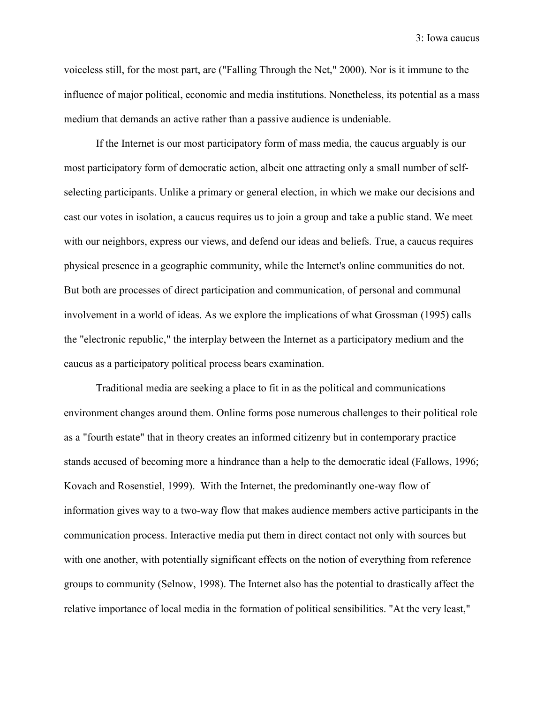voiceless still, for the most part, are ("Falling Through the Net," 2000). Nor is it immune to the influence of major political, economic and media institutions. Nonetheless, its potential as a mass medium that demands an active rather than a passive audience is undeniable.

If the Internet is our most participatory form of mass media, the caucus arguably is our most participatory form of democratic action, albeit one attracting only a small number of selfselecting participants. Unlike a primary or general election, in which we make our decisions and cast our votes in isolation, a caucus requires us to join a group and take a public stand. We meet with our neighbors, express our views, and defend our ideas and beliefs. True, a caucus requires physical presence in a geographic community, while the Internet's online communities do not. But both are processes of direct participation and communication, of personal and communal involvement in a world of ideas. As we explore the implications of what Grossman (1995) calls the "electronic republic," the interplay between the Internet as a participatory medium and the caucus as a participatory political process bears examination.

Traditional media are seeking a place to fit in as the political and communications environment changes around them. Online forms pose numerous challenges to their political role as a "fourth estate" that in theory creates an informed citizenry but in contemporary practice stands accused of becoming more a hindrance than a help to the democratic ideal (Fallows, 1996; Kovach and Rosenstiel, 1999). With the Internet, the predominantly one-way flow of information gives way to a two-way flow that makes audience members active participants in the communication process. Interactive media put them in direct contact not only with sources but with one another, with potentially significant effects on the notion of everything from reference groups to community (Selnow, 1998). The Internet also has the potential to drastically affect the relative importance of local media in the formation of political sensibilities. "At the very least,"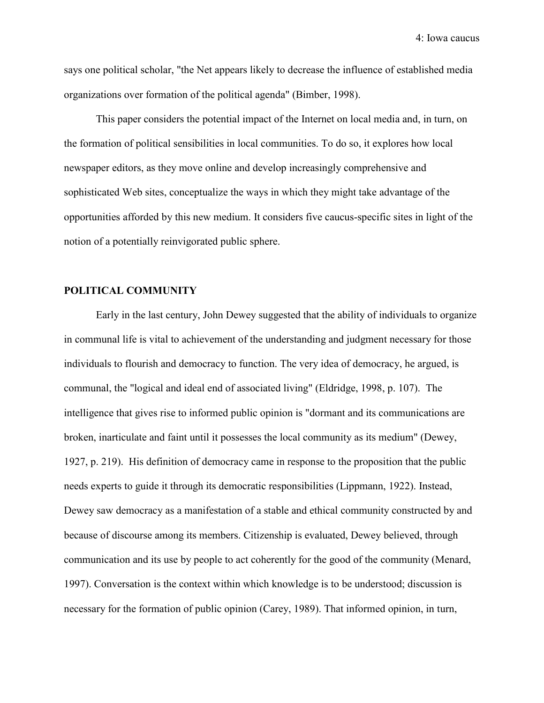says one political scholar, "the Net appears likely to decrease the influence of established media organizations over formation of the political agenda" (Bimber, 1998).

This paper considers the potential impact of the Internet on local media and, in turn, on the formation of political sensibilities in local communities. To do so, it explores how local newspaper editors, as they move online and develop increasingly comprehensive and sophisticated Web sites, conceptualize the ways in which they might take advantage of the opportunities afforded by this new medium. It considers five caucus-specific sites in light of the notion of a potentially reinvigorated public sphere.

#### **POLITICAL COMMUNITY**

Early in the last century, John Dewey suggested that the ability of individuals to organize in communal life is vital to achievement of the understanding and judgment necessary for those individuals to flourish and democracy to function. The very idea of democracy, he argued, is communal, the "logical and ideal end of associated living" (Eldridge, 1998, p. 107). The intelligence that gives rise to informed public opinion is "dormant and its communications are broken, inarticulate and faint until it possesses the local community as its medium" (Dewey, 1927, p. 219). His definition of democracy came in response to the proposition that the public needs experts to guide it through its democratic responsibilities (Lippmann, 1922). Instead, Dewey saw democracy as a manifestation of a stable and ethical community constructed by and because of discourse among its members. Citizenship is evaluated, Dewey believed, through communication and its use by people to act coherently for the good of the community (Menard, 1997). Conversation is the context within which knowledge is to be understood; discussion is necessary for the formation of public opinion (Carey, 1989). That informed opinion, in turn,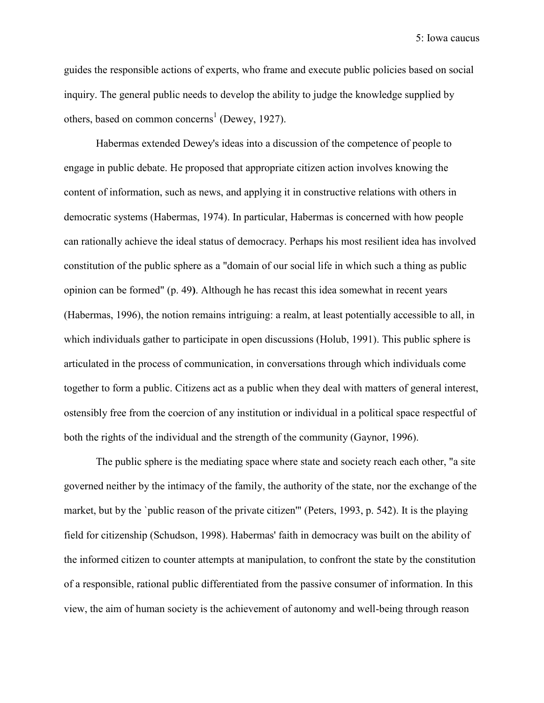guides the responsible actions of experts, who frame and execute public policies based on social inquiry. The general public needs to develop the ability to judge the knowledge supplied by others, based on common concerns<sup>1</sup> (Dewey, 1927).

Habermas extended Dewey's ideas into a discussion of the competence of people to engage in public debate. He proposed that appropriate citizen action involves knowing the content of information, such as news, and applying it in constructive relations with others in democratic systems (Habermas, 1974). In particular, Habermas is concerned with how people can rationally achieve the ideal status of democracy. Perhaps his most resilient idea has involved constitution of the public sphere as a "domain of our social life in which such a thing as public opinion can be formed" (p. 49**)**. Although he has recast this idea somewhat in recent years (Habermas, 1996), the notion remains intriguing: a realm, at least potentially accessible to all, in which individuals gather to participate in open discussions (Holub, 1991). This public sphere is articulated in the process of communication, in conversations through which individuals come together to form a public. Citizens act as a public when they deal with matters of general interest, ostensibly free from the coercion of any institution or individual in a political space respectful of both the rights of the individual and the strength of the community (Gaynor, 1996).

The public sphere is the mediating space where state and society reach each other, "a site governed neither by the intimacy of the family, the authority of the state, nor the exchange of the market, but by the `public reason of the private citizen'" (Peters, 1993, p. 542). It is the playing field for citizenship (Schudson, 1998). Habermas' faith in democracy was built on the ability of the informed citizen to counter attempts at manipulation, to confront the state by the constitution of a responsible, rational public differentiated from the passive consumer of information. In this view, the aim of human society is the achievement of autonomy and well-being through reason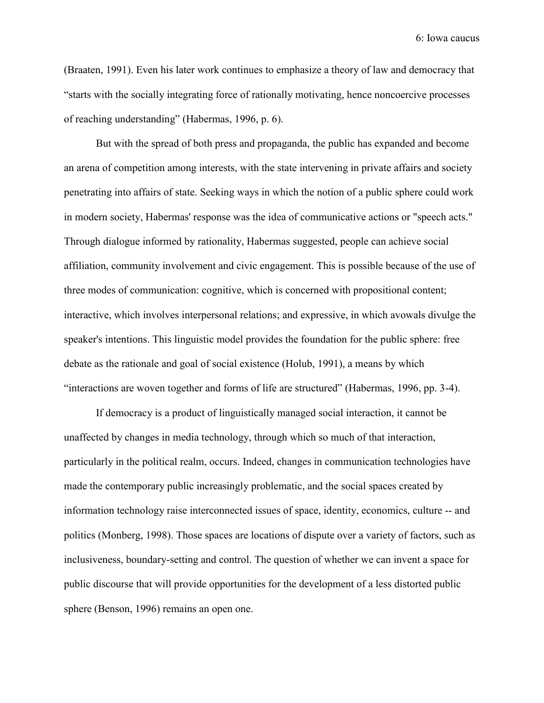(Braaten, 1991). Even his later work continues to emphasize a theory of law and democracy that "starts with the socially integrating force of rationally motivating, hence noncoercive processes of reaching understanding" (Habermas, 1996, p. 6).

But with the spread of both press and propaganda, the public has expanded and become an arena of competition among interests, with the state intervening in private affairs and society penetrating into affairs of state. Seeking ways in which the notion of a public sphere could work in modern society, Habermas' response was the idea of communicative actions or "speech acts." Through dialogue informed by rationality, Habermas suggested, people can achieve social affiliation, community involvement and civic engagement. This is possible because of the use of three modes of communication: cognitive, which is concerned with propositional content; interactive, which involves interpersonal relations; and expressive, in which avowals divulge the speaker's intentions. This linguistic model provides the foundation for the public sphere: free debate as the rationale and goal of social existence (Holub, 1991), a means by which "interactions are woven together and forms of life are structured" (Habermas, 1996, pp. 3-4).

If democracy is a product of linguistically managed social interaction, it cannot be unaffected by changes in media technology, through which so much of that interaction, particularly in the political realm, occurs. Indeed, changes in communication technologies have made the contemporary public increasingly problematic, and the social spaces created by information technology raise interconnected issues of space, identity, economics, culture -- and politics (Monberg, 1998). Those spaces are locations of dispute over a variety of factors, such as inclusiveness, boundary-setting and control. The question of whether we can invent a space for public discourse that will provide opportunities for the development of a less distorted public sphere (Benson, 1996) remains an open one.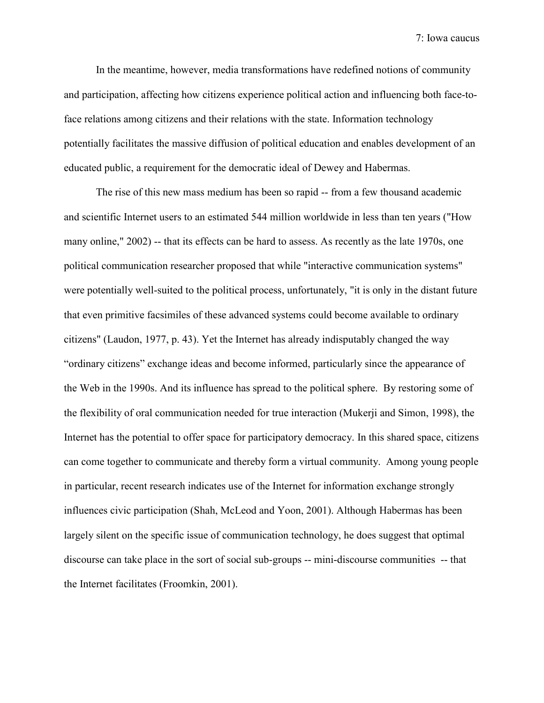In the meantime, however, media transformations have redefined notions of community and participation, affecting how citizens experience political action and influencing both face-toface relations among citizens and their relations with the state. Information technology potentially facilitates the massive diffusion of political education and enables development of an educated public, a requirement for the democratic ideal of Dewey and Habermas.

The rise of this new mass medium has been so rapid -- from a few thousand academic and scientific Internet users to an estimated 544 million worldwide in less than ten years ("How many online," 2002) -- that its effects can be hard to assess. As recently as the late 1970s, one political communication researcher proposed that while "interactive communication systems" were potentially well-suited to the political process, unfortunately, "it is only in the distant future that even primitive facsimiles of these advanced systems could become available to ordinary citizens" (Laudon, 1977, p. 43). Yet the Internet has already indisputably changed the way "ordinary citizens" exchange ideas and become informed, particularly since the appearance of the Web in the 1990s. And its influence has spread to the political sphere. By restoring some of the flexibility of oral communication needed for true interaction (Mukerji and Simon, 1998), the Internet has the potential to offer space for participatory democracy. In this shared space, citizens can come together to communicate and thereby form a virtual community. Among young people in particular, recent research indicates use of the Internet for information exchange strongly influences civic participation (Shah, McLeod and Yoon, 2001). Although Habermas has been largely silent on the specific issue of communication technology, he does suggest that optimal discourse can take place in the sort of social sub-groups -- mini-discourse communities -- that the Internet facilitates (Froomkin, 2001).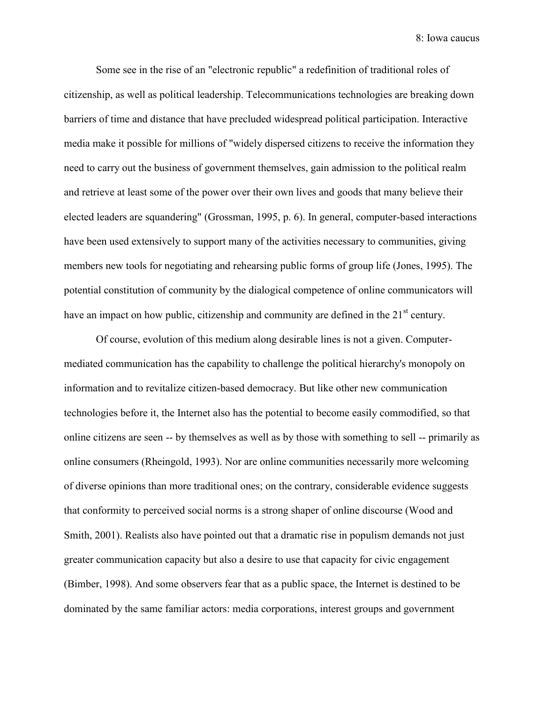Some see in the rise of an "electronic republic" a redefinition of traditional roles of citizenship, as well as political leadership. Telecommunications technologies are breaking down barriers of time and distance that have precluded widespread political participation. Interactive media make it possible for millions of "widely dispersed citizens to receive the information they need to carry out the business of government themselves, gain admission to the political realm and retrieve at least some of the power over their own lives and goods that many believe their elected leaders are squandering" (Grossman, 1995, p. 6). In general, computer-based interactions have been used extensively to support many of the activities necessary to communities, giving members new tools for negotiating and rehearsing public forms of group life (Jones, 1995). The potential constitution of community by the dialogical competence of online communicators will have an impact on how public, citizenship and community are defined in the  $21<sup>st</sup>$  century.

Of course, evolution of this medium along desirable lines is not a given. Computermediated communication has the capability to challenge the political hierarchy's monopoly on information and to revitalize citizen-based democracy. But like other new communication technologies before it, the Internet also has the potential to become easily commodified, so that online citizens are seen -- by themselves as well as by those with something to sell -- primarily as online consumers (Rheingold, 1993). Nor are online communities necessarily more welcoming of diverse opinions than more traditional ones; on the contrary, considerable evidence suggests that conformity to perceived social norms is a strong shaper of online discourse (Wood and Smith, 2001). Realists also have pointed out that a dramatic rise in populism demands not just greater communication capacity but also a desire to use that capacity for civic engagement (Bimber, 1998). And some observers fear that as a public space, the Internet is destined to be dominated by the same familiar actors: media corporations, interest groups and government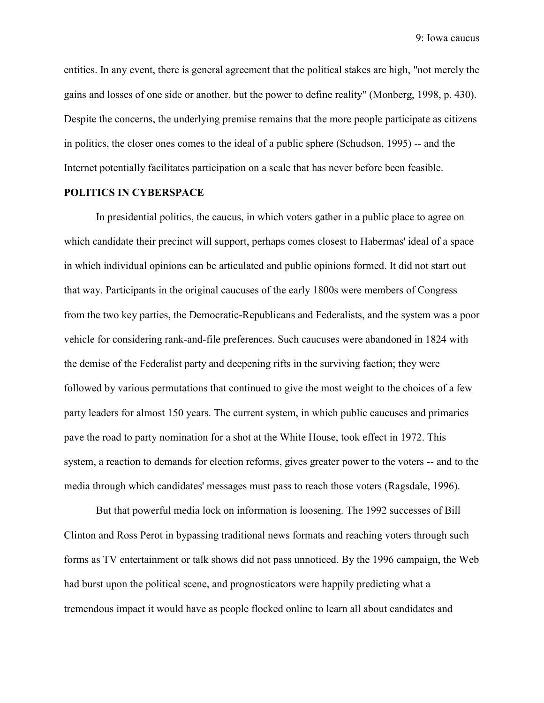entities. In any event, there is general agreement that the political stakes are high, "not merely the gains and losses of one side or another, but the power to define reality" (Monberg, 1998, p. 430). Despite the concerns, the underlying premise remains that the more people participate as citizens in politics, the closer ones comes to the ideal of a public sphere (Schudson, 1995) -- and the Internet potentially facilitates participation on a scale that has never before been feasible.

#### **POLITICS IN CYBERSPACE**

In presidential politics, the caucus, in which voters gather in a public place to agree on which candidate their precinct will support, perhaps comes closest to Habermas' ideal of a space in which individual opinions can be articulated and public opinions formed. It did not start out that way. Participants in the original caucuses of the early 1800s were members of Congress from the two key parties, the Democratic-Republicans and Federalists, and the system was a poor vehicle for considering rank-and-file preferences. Such caucuses were abandoned in 1824 with the demise of the Federalist party and deepening rifts in the surviving faction; they were followed by various permutations that continued to give the most weight to the choices of a few party leaders for almost 150 years. The current system, in which public caucuses and primaries pave the road to party nomination for a shot at the White House, took effect in 1972. This system, a reaction to demands for election reforms, gives greater power to the voters -- and to the media through which candidates' messages must pass to reach those voters (Ragsdale, 1996).

But that powerful media lock on information is loosening. The 1992 successes of Bill Clinton and Ross Perot in bypassing traditional news formats and reaching voters through such forms as TV entertainment or talk shows did not pass unnoticed. By the 1996 campaign, the Web had burst upon the political scene, and prognosticators were happily predicting what a tremendous impact it would have as people flocked online to learn all about candidates and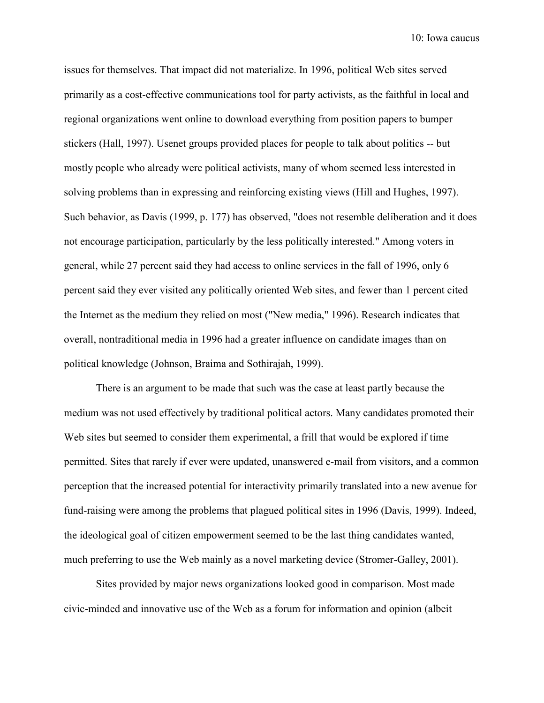issues for themselves. That impact did not materialize. In 1996, political Web sites served primarily as a cost-effective communications tool for party activists, as the faithful in local and regional organizations went online to download everything from position papers to bumper stickers (Hall, 1997). Usenet groups provided places for people to talk about politics -- but mostly people who already were political activists, many of whom seemed less interested in solving problems than in expressing and reinforcing existing views (Hill and Hughes, 1997). Such behavior, as Davis (1999, p. 177) has observed, "does not resemble deliberation and it does not encourage participation, particularly by the less politically interested." Among voters in general, while 27 percent said they had access to online services in the fall of 1996, only 6 percent said they ever visited any politically oriented Web sites, and fewer than 1 percent cited the Internet as the medium they relied on most ("New media," 1996). Research indicates that overall, nontraditional media in 1996 had a greater influence on candidate images than on political knowledge (Johnson, Braima and Sothirajah, 1999).

There is an argument to be made that such was the case at least partly because the medium was not used effectively by traditional political actors. Many candidates promoted their Web sites but seemed to consider them experimental, a frill that would be explored if time permitted. Sites that rarely if ever were updated, unanswered e-mail from visitors, and a common perception that the increased potential for interactivity primarily translated into a new avenue for fund-raising were among the problems that plagued political sites in 1996 (Davis, 1999). Indeed, the ideological goal of citizen empowerment seemed to be the last thing candidates wanted, much preferring to use the Web mainly as a novel marketing device (Stromer-Galley, 2001).

Sites provided by major news organizations looked good in comparison. Most made civic-minded and innovative use of the Web as a forum for information and opinion (albeit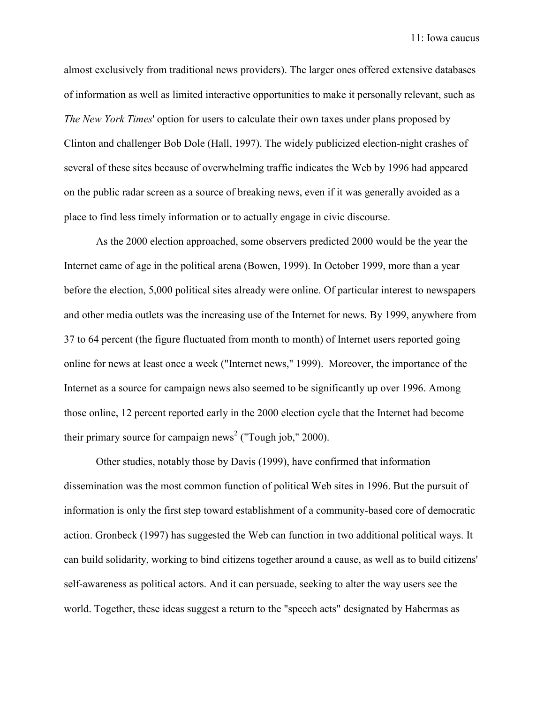almost exclusively from traditional news providers). The larger ones offered extensive databases of information as well as limited interactive opportunities to make it personally relevant, such as *The New York Times*' option for users to calculate their own taxes under plans proposed by Clinton and challenger Bob Dole (Hall, 1997). The widely publicized election-night crashes of several of these sites because of overwhelming traffic indicates the Web by 1996 had appeared on the public radar screen as a source of breaking news, even if it was generally avoided as a place to find less timely information or to actually engage in civic discourse.

As the 2000 election approached, some observers predicted 2000 would be the year the Internet came of age in the political arena (Bowen, 1999). In October 1999, more than a year before the election, 5,000 political sites already were online. Of particular interest to newspapers and other media outlets was the increasing use of the Internet for news. By 1999, anywhere from 37 to 64 percent (the figure fluctuated from month to month) of Internet users reported going online for news at least once a week ("Internet news," 1999). Moreover, the importance of the Internet as a source for campaign news also seemed to be significantly up over 1996. Among those online, 12 percent reported early in the 2000 election cycle that the Internet had become their primary source for campaign news<sup>2</sup> ("Tough job," 2000).

Other studies, notably those by Davis (1999), have confirmed that information dissemination was the most common function of political Web sites in 1996. But the pursuit of information is only the first step toward establishment of a community-based core of democratic action. Gronbeck (1997) has suggested the Web can function in two additional political ways. It can build solidarity, working to bind citizens together around a cause, as well as to build citizens' self-awareness as political actors. And it can persuade, seeking to alter the way users see the world. Together, these ideas suggest a return to the "speech acts" designated by Habermas as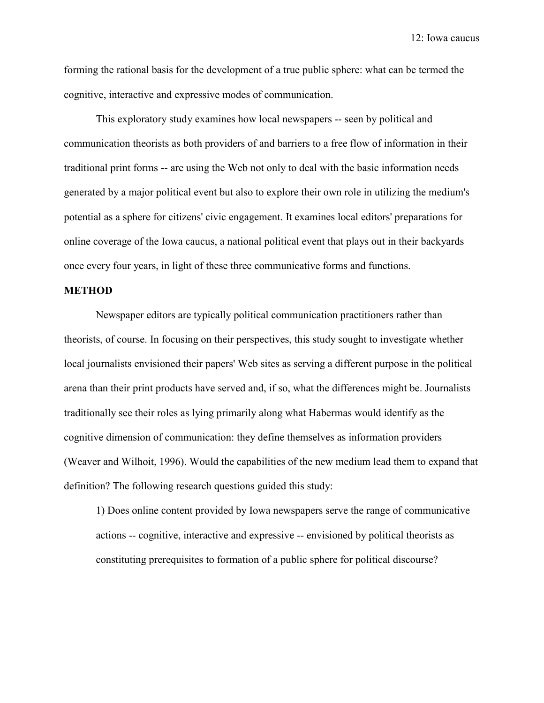forming the rational basis for the development of a true public sphere: what can be termed the cognitive, interactive and expressive modes of communication.

This exploratory study examines how local newspapers -- seen by political and communication theorists as both providers of and barriers to a free flow of information in their traditional print forms -- are using the Web not only to deal with the basic information needs generated by a major political event but also to explore their own role in utilizing the medium's potential as a sphere for citizens' civic engagement. It examines local editors' preparations for online coverage of the Iowa caucus, a national political event that plays out in their backyards once every four years, in light of these three communicative forms and functions.

#### **METHOD**

Newspaper editors are typically political communication practitioners rather than theorists, of course. In focusing on their perspectives, this study sought to investigate whether local journalists envisioned their papers' Web sites as serving a different purpose in the political arena than their print products have served and, if so, what the differences might be. Journalists traditionally see their roles as lying primarily along what Habermas would identify as the cognitive dimension of communication: they define themselves as information providers (Weaver and Wilhoit, 1996). Would the capabilities of the new medium lead them to expand that definition? The following research questions guided this study:

1) Does online content provided by Iowa newspapers serve the range of communicative actions -- cognitive, interactive and expressive -- envisioned by political theorists as constituting prerequisites to formation of a public sphere for political discourse?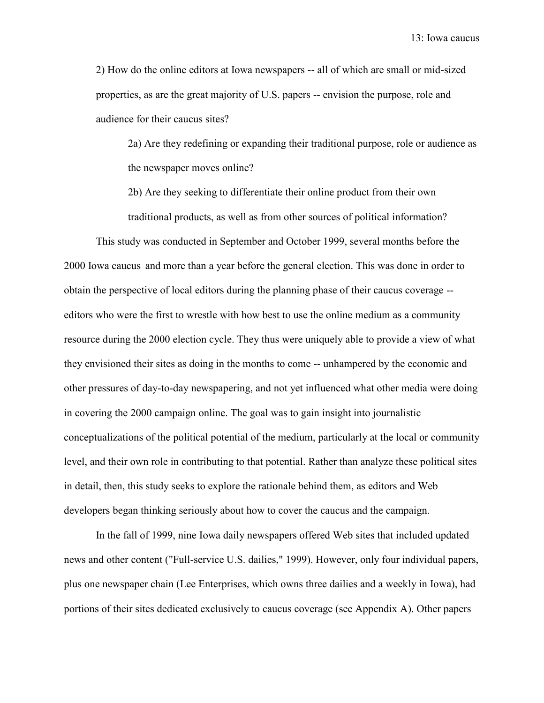2) How do the online editors at Iowa newspapers -- all of which are small or mid-sized properties, as are the great majority of U.S. papers -- envision the purpose, role and audience for their caucus sites?

2a) Are they redefining or expanding their traditional purpose, role or audience as the newspaper moves online?

2b) Are they seeking to differentiate their online product from their own traditional products, as well as from other sources of political information?

This study was conducted in September and October 1999, several months before the 2000 Iowa caucus and more than a year before the general election. This was done in order to obtain the perspective of local editors during the planning phase of their caucus coverage - editors who were the first to wrestle with how best to use the online medium as a community resource during the 2000 election cycle. They thus were uniquely able to provide a view of what they envisioned their sites as doing in the months to come -- unhampered by the economic and other pressures of day-to-day newspapering, and not yet influenced what other media were doing in covering the 2000 campaign online. The goal was to gain insight into journalistic conceptualizations of the political potential of the medium, particularly at the local or community level, and their own role in contributing to that potential. Rather than analyze these political sites in detail, then, this study seeks to explore the rationale behind them, as editors and Web developers began thinking seriously about how to cover the caucus and the campaign.

In the fall of 1999, nine Iowa daily newspapers offered Web sites that included updated news and other content ("Full-service U.S. dailies," 1999). However, only four individual papers, plus one newspaper chain (Lee Enterprises, which owns three dailies and a weekly in Iowa), had portions of their sites dedicated exclusively to caucus coverage (see Appendix A). Other papers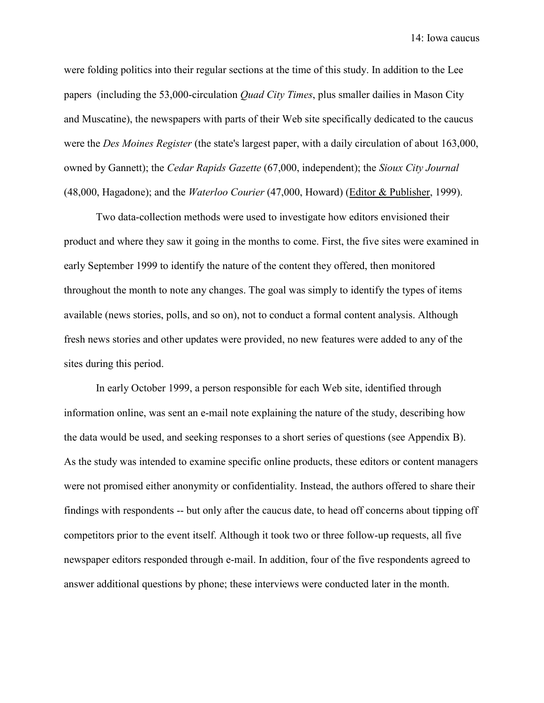were folding politics into their regular sections at the time of this study. In addition to the Lee papers (including the 53,000-circulation *Quad City Times*, plus smaller dailies in Mason City and Muscatine), the newspapers with parts of their Web site specifically dedicated to the caucus were the *Des Moines Register* (the state's largest paper, with a daily circulation of about 163,000, owned by Gannett); the *Cedar Rapids Gazette* (67,000, independent); the *Sioux City Journal* (48,000, Hagadone); and the *Waterloo Courier* (47,000, Howard) (Editor & Publisher, 1999).

Two data-collection methods were used to investigate how editors envisioned their product and where they saw it going in the months to come. First, the five sites were examined in early September 1999 to identify the nature of the content they offered, then monitored throughout the month to note any changes. The goal was simply to identify the types of items available (news stories, polls, and so on), not to conduct a formal content analysis. Although fresh news stories and other updates were provided, no new features were added to any of the sites during this period.

In early October 1999, a person responsible for each Web site, identified through information online, was sent an e-mail note explaining the nature of the study, describing how the data would be used, and seeking responses to a short series of questions (see Appendix B). As the study was intended to examine specific online products, these editors or content managers were not promised either anonymity or confidentiality. Instead, the authors offered to share their findings with respondents -- but only after the caucus date, to head off concerns about tipping off competitors prior to the event itself. Although it took two or three follow-up requests, all five newspaper editors responded through e-mail. In addition, four of the five respondents agreed to answer additional questions by phone; these interviews were conducted later in the month.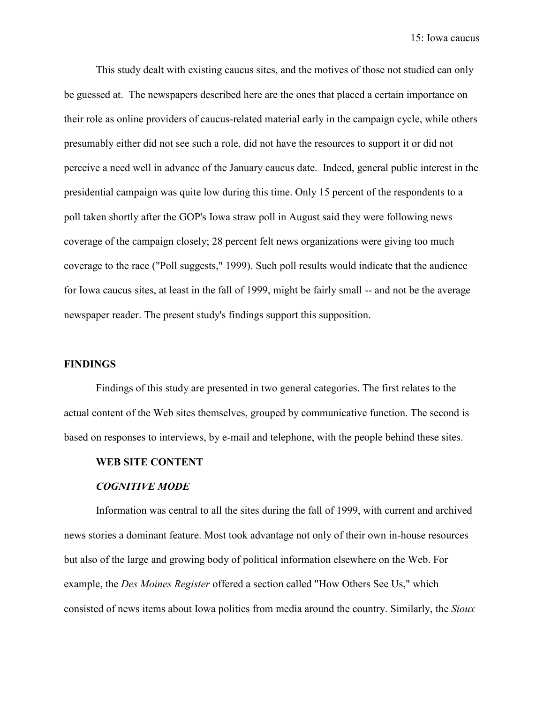This study dealt with existing caucus sites, and the motives of those not studied can only be guessed at. The newspapers described here are the ones that placed a certain importance on their role as online providers of caucus-related material early in the campaign cycle, while others presumably either did not see such a role, did not have the resources to support it or did not perceive a need well in advance of the January caucus date. Indeed, general public interest in the presidential campaign was quite low during this time. Only 15 percent of the respondents to a poll taken shortly after the GOP's Iowa straw poll in August said they were following news coverage of the campaign closely; 28 percent felt news organizations were giving too much coverage to the race ("Poll suggests," 1999). Such poll results would indicate that the audience for Iowa caucus sites, at least in the fall of 1999, might be fairly small -- and not be the average newspaper reader. The present study's findings support this supposition.

#### **FINDINGS**

Findings of this study are presented in two general categories. The first relates to the actual content of the Web sites themselves, grouped by communicative function. The second is based on responses to interviews, by e-mail and telephone, with the people behind these sites.

#### **WEB SITE CONTENT**

#### *COGNITIVE MODE*

Information was central to all the sites during the fall of 1999, with current and archived news stories a dominant feature. Most took advantage not only of their own in-house resources but also of the large and growing body of political information elsewhere on the Web. For example, the *Des Moines Register* offered a section called "How Others See Us," which consisted of news items about Iowa politics from media around the country. Similarly, the *Sioux*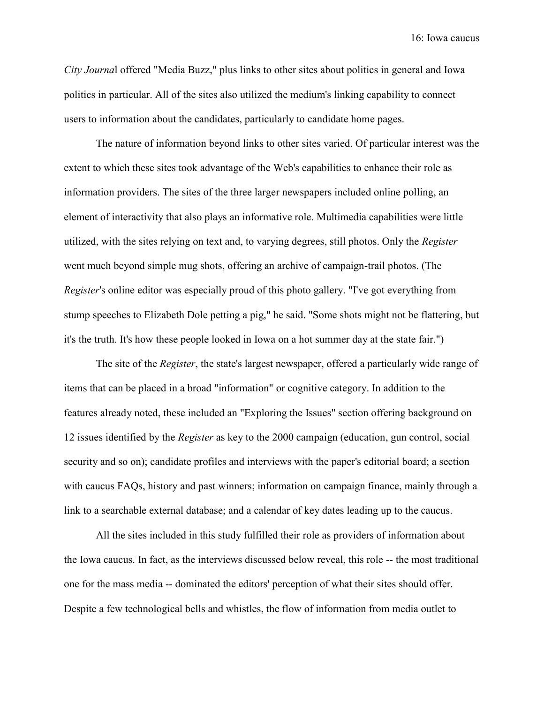*City Journa*l offered "Media Buzz," plus links to other sites about politics in general and Iowa politics in particular. All of the sites also utilized the medium's linking capability to connect users to information about the candidates, particularly to candidate home pages.

The nature of information beyond links to other sites varied. Of particular interest was the extent to which these sites took advantage of the Web's capabilities to enhance their role as information providers. The sites of the three larger newspapers included online polling, an element of interactivity that also plays an informative role. Multimedia capabilities were little utilized, with the sites relying on text and, to varying degrees, still photos. Only the *Register* went much beyond simple mug shots, offering an archive of campaign-trail photos. (The *Register*'s online editor was especially proud of this photo gallery. "I've got everything from stump speeches to Elizabeth Dole petting a pig," he said. "Some shots might not be flattering, but it's the truth. It's how these people looked in Iowa on a hot summer day at the state fair.")

The site of the *Register*, the state's largest newspaper, offered a particularly wide range of items that can be placed in a broad "information" or cognitive category. In addition to the features already noted, these included an "Exploring the Issues" section offering background on 12 issues identified by the *Register* as key to the 2000 campaign (education, gun control, social security and so on); candidate profiles and interviews with the paper's editorial board; a section with caucus FAQs, history and past winners; information on campaign finance, mainly through a link to a searchable external database; and a calendar of key dates leading up to the caucus.

All the sites included in this study fulfilled their role as providers of information about the Iowa caucus. In fact, as the interviews discussed below reveal, this role -- the most traditional one for the mass media -- dominated the editors' perception of what their sites should offer. Despite a few technological bells and whistles, the flow of information from media outlet to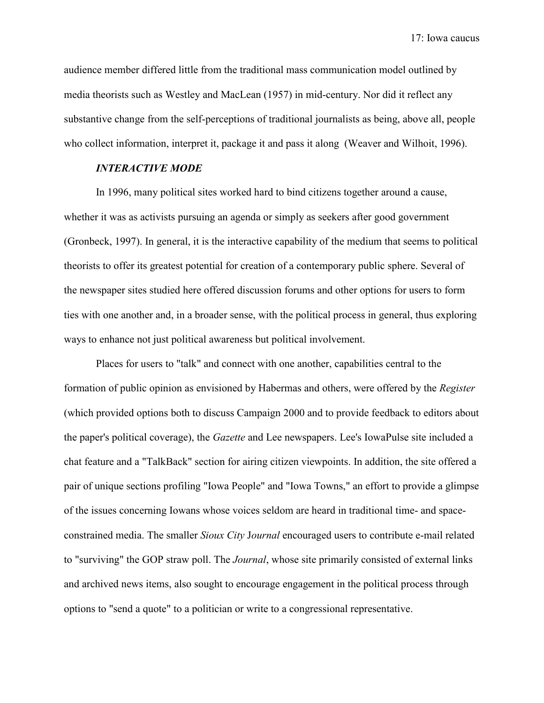audience member differed little from the traditional mass communication model outlined by media theorists such as Westley and MacLean (1957) in mid-century. Nor did it reflect any substantive change from the self-perceptions of traditional journalists as being, above all, people who collect information, interpret it, package it and pass it along (Weaver and Wilhoit, 1996).

#### *INTERACTIVE MODE*

In 1996, many political sites worked hard to bind citizens together around a cause, whether it was as activists pursuing an agenda or simply as seekers after good government (Gronbeck, 1997). In general, it is the interactive capability of the medium that seems to political theorists to offer its greatest potential for creation of a contemporary public sphere. Several of the newspaper sites studied here offered discussion forums and other options for users to form ties with one another and, in a broader sense, with the political process in general, thus exploring ways to enhance not just political awareness but political involvement.

Places for users to "talk" and connect with one another, capabilities central to the formation of public opinion as envisioned by Habermas and others, were offered by the *Register* (which provided options both to discuss Campaign 2000 and to provide feedback to editors about the paper's political coverage), the *Gazette* and Lee newspapers. Lee's IowaPulse site included a chat feature and a "TalkBack" section for airing citizen viewpoints. In addition, the site offered a pair of unique sections profiling "Iowa People" and "Iowa Towns," an effort to provide a glimpse of the issues concerning Iowans whose voices seldom are heard in traditional time- and spaceconstrained media. The smaller *Sioux City* J*ournal* encouraged users to contribute e-mail related to "surviving" the GOP straw poll. The *Journal*, whose site primarily consisted of external links and archived news items, also sought to encourage engagement in the political process through options to "send a quote" to a politician or write to a congressional representative.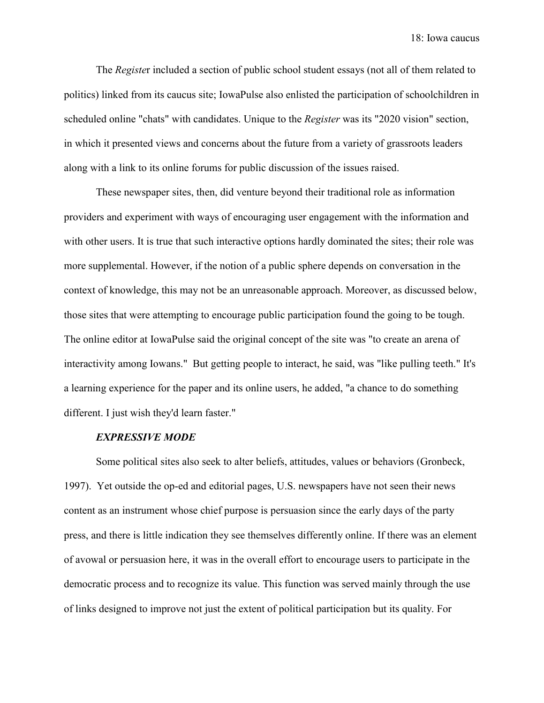The *Registe*r included a section of public school student essays (not all of them related to politics) linked from its caucus site; IowaPulse also enlisted the participation of schoolchildren in scheduled online "chats" with candidates. Unique to the *Register* was its "2020 vision" section, in which it presented views and concerns about the future from a variety of grassroots leaders along with a link to its online forums for public discussion of the issues raised.

These newspaper sites, then, did venture beyond their traditional role as information providers and experiment with ways of encouraging user engagement with the information and with other users. It is true that such interactive options hardly dominated the sites; their role was more supplemental. However, if the notion of a public sphere depends on conversation in the context of knowledge, this may not be an unreasonable approach. Moreover, as discussed below, those sites that were attempting to encourage public participation found the going to be tough. The online editor at IowaPulse said the original concept of the site was "to create an arena of interactivity among Iowans." But getting people to interact, he said, was "like pulling teeth." It's a learning experience for the paper and its online users, he added, "a chance to do something different. I just wish they'd learn faster."

#### *EXPRESSIVE MODE*

Some political sites also seek to alter beliefs, attitudes, values or behaviors (Gronbeck, 1997). Yet outside the op-ed and editorial pages, U.S. newspapers have not seen their news content as an instrument whose chief purpose is persuasion since the early days of the party press, and there is little indication they see themselves differently online. If there was an element of avowal or persuasion here, it was in the overall effort to encourage users to participate in the democratic process and to recognize its value. This function was served mainly through the use of links designed to improve not just the extent of political participation but its quality. For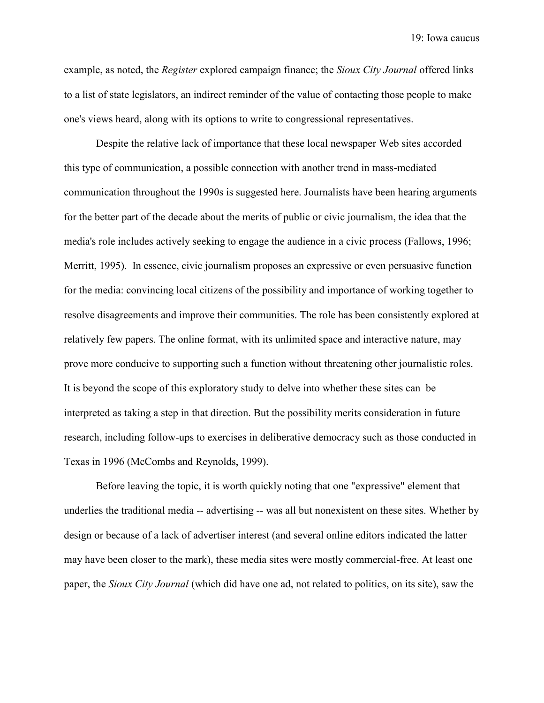example, as noted, the *Register* explored campaign finance; the *Sioux City Journal* offered links to a list of state legislators, an indirect reminder of the value of contacting those people to make one's views heard, along with its options to write to congressional representatives.

Despite the relative lack of importance that these local newspaper Web sites accorded this type of communication, a possible connection with another trend in mass-mediated communication throughout the 1990s is suggested here. Journalists have been hearing arguments for the better part of the decade about the merits of public or civic journalism, the idea that the media's role includes actively seeking to engage the audience in a civic process (Fallows, 1996; Merritt, 1995). In essence, civic journalism proposes an expressive or even persuasive function for the media: convincing local citizens of the possibility and importance of working together to resolve disagreements and improve their communities. The role has been consistently explored at relatively few papers. The online format, with its unlimited space and interactive nature, may prove more conducive to supporting such a function without threatening other journalistic roles. It is beyond the scope of this exploratory study to delve into whether these sites can be interpreted as taking a step in that direction. But the possibility merits consideration in future research, including follow-ups to exercises in deliberative democracy such as those conducted in Texas in 1996 (McCombs and Reynolds, 1999).

Before leaving the topic, it is worth quickly noting that one "expressive" element that underlies the traditional media -- advertising -- was all but nonexistent on these sites. Whether by design or because of a lack of advertiser interest (and several online editors indicated the latter may have been closer to the mark), these media sites were mostly commercial-free. At least one paper, the *Sioux City Journal* (which did have one ad, not related to politics, on its site), saw the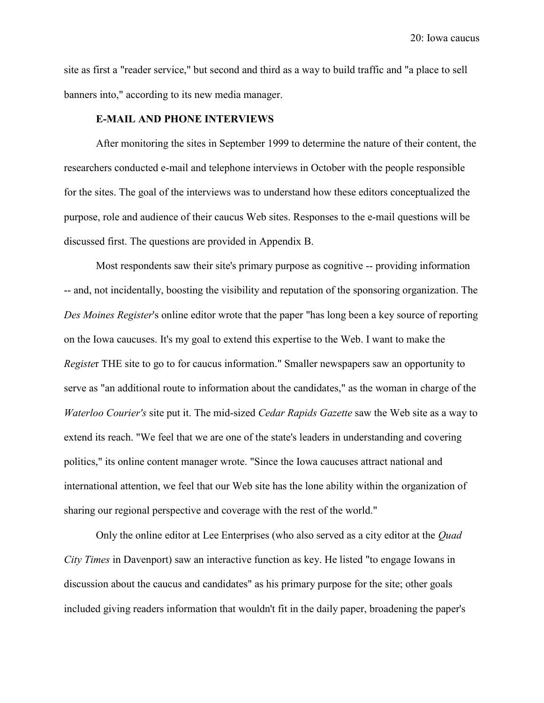site as first a "reader service," but second and third as a way to build traffic and "a place to sell banners into," according to its new media manager.

#### **E-MAIL AND PHONE INTERVIEWS**

After monitoring the sites in September 1999 to determine the nature of their content, the researchers conducted e-mail and telephone interviews in October with the people responsible for the sites. The goal of the interviews was to understand how these editors conceptualized the purpose, role and audience of their caucus Web sites. Responses to the e-mail questions will be discussed first. The questions are provided in Appendix B.

Most respondents saw their site's primary purpose as cognitive -- providing information -- and, not incidentally, boosting the visibility and reputation of the sponsoring organization. The *Des Moines Register*'s online editor wrote that the paper "has long been a key source of reporting on the Iowa caucuses. It's my goal to extend this expertise to the Web. I want to make the *Registe*r THE site to go to for caucus information." Smaller newspapers saw an opportunity to serve as "an additional route to information about the candidates," as the woman in charge of the *Waterloo Courier's* site put it. The mid-sized *Cedar Rapids Gazette* saw the Web site as a way to extend its reach. "We feel that we are one of the state's leaders in understanding and covering politics," its online content manager wrote. "Since the Iowa caucuses attract national and international attention, we feel that our Web site has the lone ability within the organization of sharing our regional perspective and coverage with the rest of the world."

Only the online editor at Lee Enterprises (who also served as a city editor at the *Quad City Times* in Davenport) saw an interactive function as key. He listed "to engage Iowans in discussion about the caucus and candidates" as his primary purpose for the site; other goals included giving readers information that wouldn't fit in the daily paper, broadening the paper's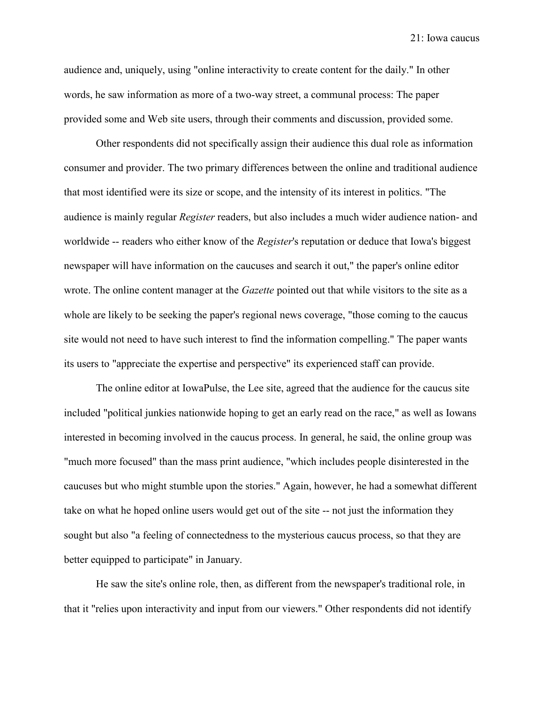audience and, uniquely, using "online interactivity to create content for the daily." In other words, he saw information as more of a two-way street, a communal process: The paper provided some and Web site users, through their comments and discussion, provided some.

Other respondents did not specifically assign their audience this dual role as information consumer and provider. The two primary differences between the online and traditional audience that most identified were its size or scope, and the intensity of its interest in politics. "The audience is mainly regular *Register* readers, but also includes a much wider audience nation- and worldwide -- readers who either know of the *Register*'s reputation or deduce that Iowa's biggest newspaper will have information on the caucuses and search it out," the paper's online editor wrote. The online content manager at the *Gazette* pointed out that while visitors to the site as a whole are likely to be seeking the paper's regional news coverage, "those coming to the caucus site would not need to have such interest to find the information compelling." The paper wants its users to "appreciate the expertise and perspective" its experienced staff can provide.

The online editor at IowaPulse, the Lee site, agreed that the audience for the caucus site included "political junkies nationwide hoping to get an early read on the race," as well as Iowans interested in becoming involved in the caucus process. In general, he said, the online group was "much more focused" than the mass print audience, "which includes people disinterested in the caucuses but who might stumble upon the stories." Again, however, he had a somewhat different take on what he hoped online users would get out of the site -- not just the information they sought but also "a feeling of connectedness to the mysterious caucus process, so that they are better equipped to participate" in January.

He saw the site's online role, then, as different from the newspaper's traditional role, in that it "relies upon interactivity and input from our viewers." Other respondents did not identify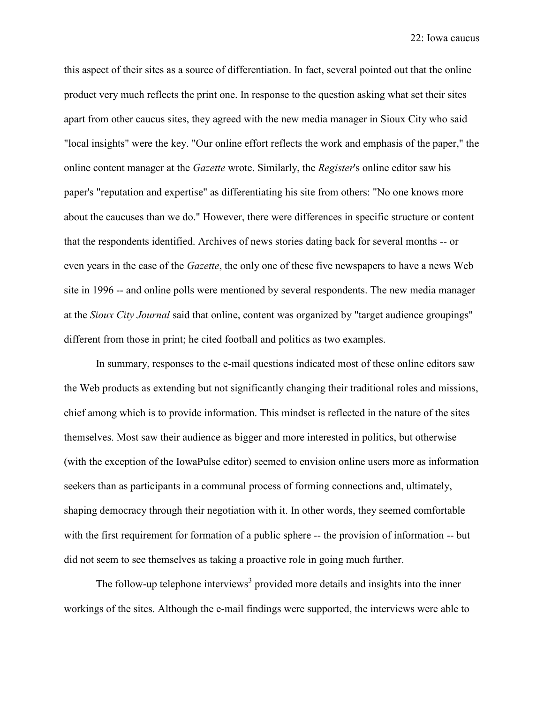this aspect of their sites as a source of differentiation. In fact, several pointed out that the online product very much reflects the print one. In response to the question asking what set their sites apart from other caucus sites, they agreed with the new media manager in Sioux City who said "local insights" were the key. "Our online effort reflects the work and emphasis of the paper," the online content manager at the *Gazette* wrote. Similarly, the *Register*'s online editor saw his paper's "reputation and expertise" as differentiating his site from others: "No one knows more about the caucuses than we do." However, there were differences in specific structure or content that the respondents identified. Archives of news stories dating back for several months -- or even years in the case of the *Gazette*, the only one of these five newspapers to have a news Web site in 1996 -- and online polls were mentioned by several respondents. The new media manager at the *Sioux City Journal* said that online, content was organized by "target audience groupings" different from those in print; he cited football and politics as two examples.

In summary, responses to the e-mail questions indicated most of these online editors saw the Web products as extending but not significantly changing their traditional roles and missions, chief among which is to provide information. This mindset is reflected in the nature of the sites themselves. Most saw their audience as bigger and more interested in politics, but otherwise (with the exception of the IowaPulse editor) seemed to envision online users more as information seekers than as participants in a communal process of forming connections and, ultimately, shaping democracy through their negotiation with it. In other words, they seemed comfortable with the first requirement for formation of a public sphere -- the provision of information -- but did not seem to see themselves as taking a proactive role in going much further.

The follow-up telephone interviews<sup>3</sup> provided more details and insights into the inner workings of the sites. Although the e-mail findings were supported, the interviews were able to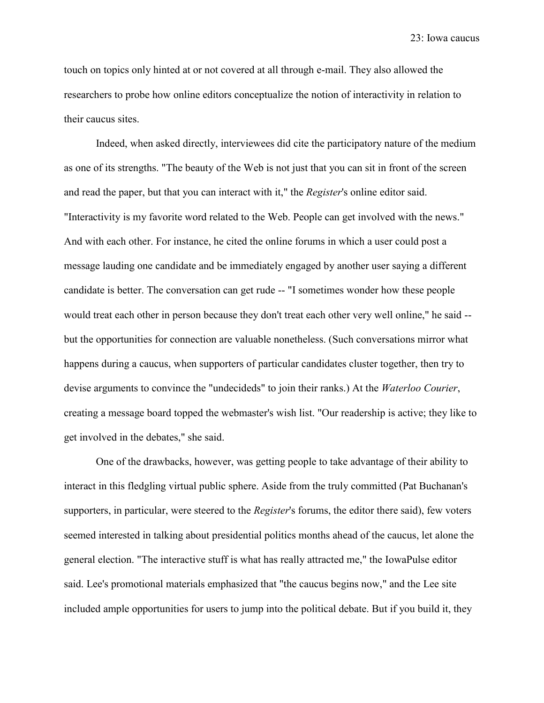touch on topics only hinted at or not covered at all through e-mail. They also allowed the researchers to probe how online editors conceptualize the notion of interactivity in relation to their caucus sites.

Indeed, when asked directly, interviewees did cite the participatory nature of the medium as one of its strengths. "The beauty of the Web is not just that you can sit in front of the screen and read the paper, but that you can interact with it," the *Register*'s online editor said. "Interactivity is my favorite word related to the Web. People can get involved with the news." And with each other. For instance, he cited the online forums in which a user could post a message lauding one candidate and be immediately engaged by another user saying a different candidate is better. The conversation can get rude -- "I sometimes wonder how these people would treat each other in person because they don't treat each other very well online," he said - but the opportunities for connection are valuable nonetheless. (Such conversations mirror what happens during a caucus, when supporters of particular candidates cluster together, then try to devise arguments to convince the "undecideds" to join their ranks.) At the *Waterloo Courier*, creating a message board topped the webmaster's wish list. "Our readership is active; they like to get involved in the debates," she said.

One of the drawbacks, however, was getting people to take advantage of their ability to interact in this fledgling virtual public sphere. Aside from the truly committed (Pat Buchanan's supporters, in particular, were steered to the *Register*'s forums, the editor there said), few voters seemed interested in talking about presidential politics months ahead of the caucus, let alone the general election. "The interactive stuff is what has really attracted me," the IowaPulse editor said. Lee's promotional materials emphasized that "the caucus begins now," and the Lee site included ample opportunities for users to jump into the political debate. But if you build it, they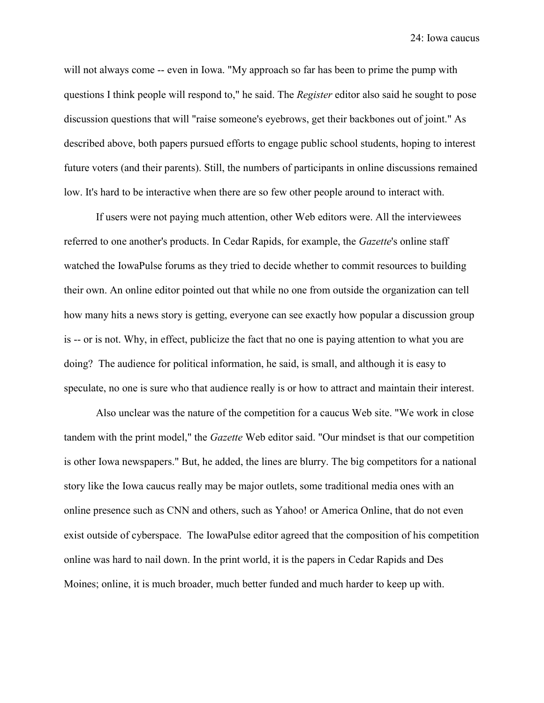will not always come -- even in Iowa. "My approach so far has been to prime the pump with questions I think people will respond to," he said. The *Register* editor also said he sought to pose discussion questions that will "raise someone's eyebrows, get their backbones out of joint." As described above, both papers pursued efforts to engage public school students, hoping to interest future voters (and their parents). Still, the numbers of participants in online discussions remained low. It's hard to be interactive when there are so few other people around to interact with.

If users were not paying much attention, other Web editors were. All the interviewees referred to one another's products. In Cedar Rapids, for example, the *Gazette*'s online staff watched the IowaPulse forums as they tried to decide whether to commit resources to building their own. An online editor pointed out that while no one from outside the organization can tell how many hits a news story is getting, everyone can see exactly how popular a discussion group is -- or is not. Why, in effect, publicize the fact that no one is paying attention to what you are doing? The audience for political information, he said, is small, and although it is easy to speculate, no one is sure who that audience really is or how to attract and maintain their interest.

Also unclear was the nature of the competition for a caucus Web site. "We work in close tandem with the print model," the *Gazette* Web editor said. "Our mindset is that our competition is other Iowa newspapers." But, he added, the lines are blurry. The big competitors for a national story like the Iowa caucus really may be major outlets, some traditional media ones with an online presence such as CNN and others, such as Yahoo! or America Online, that do not even exist outside of cyberspace. The IowaPulse editor agreed that the composition of his competition online was hard to nail down. In the print world, it is the papers in Cedar Rapids and Des Moines; online, it is much broader, much better funded and much harder to keep up with.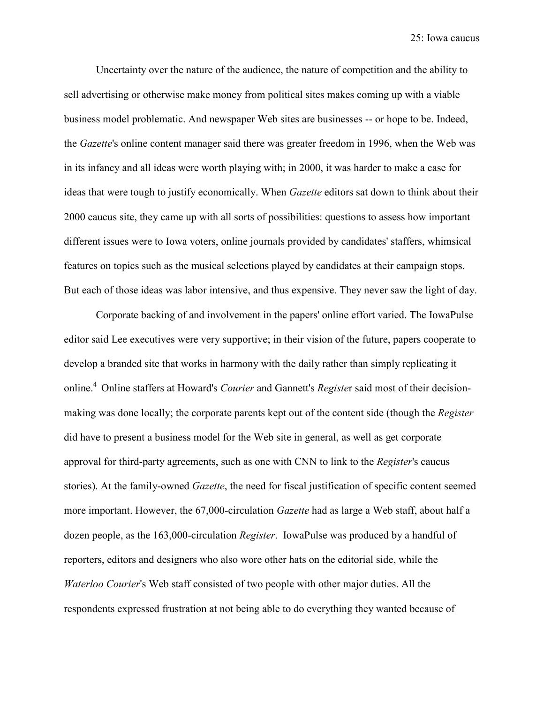Uncertainty over the nature of the audience, the nature of competition and the ability to sell advertising or otherwise make money from political sites makes coming up with a viable business model problematic. And newspaper Web sites are businesses -- or hope to be. Indeed, the *Gazette*'s online content manager said there was greater freedom in 1996, when the Web was in its infancy and all ideas were worth playing with; in 2000, it was harder to make a case for ideas that were tough to justify economically. When *Gazette* editors sat down to think about their 2000 caucus site, they came up with all sorts of possibilities: questions to assess how important different issues were to Iowa voters, online journals provided by candidates' staffers, whimsical features on topics such as the musical selections played by candidates at their campaign stops. But each of those ideas was labor intensive, and thus expensive. They never saw the light of day.

Corporate backing of and involvement in the papers' online effort varied. The IowaPulse editor said Lee executives were very supportive; in their vision of the future, papers cooperate to develop a branded site that works in harmony with the daily rather than simply replicating it online.<sup>4</sup> Online staffers at Howard's *Courier* and Gannett's *Register* said most of their decisionmaking was done locally; the corporate parents kept out of the content side (though the *Register* did have to present a business model for the Web site in general, as well as get corporate approval for third-party agreements, such as one with CNN to link to the *Register*'s caucus stories). At the family-owned *Gazette*, the need for fiscal justification of specific content seemed more important. However, the 67,000-circulation *Gazette* had as large a Web staff, about half a dozen people, as the 163,000-circulation *Register*. IowaPulse was produced by a handful of reporters, editors and designers who also wore other hats on the editorial side, while the *Waterloo Courier*'s Web staff consisted of two people with other major duties. All the respondents expressed frustration at not being able to do everything they wanted because of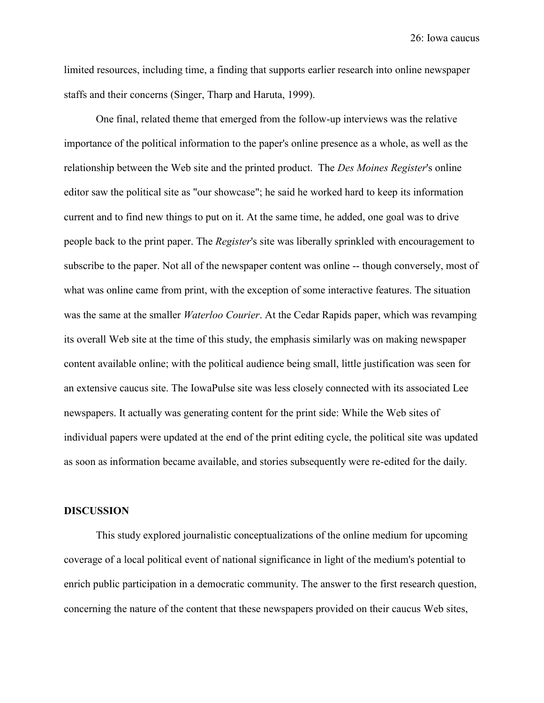limited resources, including time, a finding that supports earlier research into online newspaper staffs and their concerns (Singer, Tharp and Haruta, 1999).

One final, related theme that emerged from the follow-up interviews was the relative importance of the political information to the paper's online presence as a whole, as well as the relationship between the Web site and the printed product. The *Des Moines Register*'s online editor saw the political site as "our showcase"; he said he worked hard to keep its information current and to find new things to put on it. At the same time, he added, one goal was to drive people back to the print paper. The *Register*'s site was liberally sprinkled with encouragement to subscribe to the paper. Not all of the newspaper content was online -- though conversely, most of what was online came from print, with the exception of some interactive features. The situation was the same at the smaller *Waterloo Courier*. At the Cedar Rapids paper, which was revamping its overall Web site at the time of this study, the emphasis similarly was on making newspaper content available online; with the political audience being small, little justification was seen for an extensive caucus site. The IowaPulse site was less closely connected with its associated Lee newspapers. It actually was generating content for the print side: While the Web sites of individual papers were updated at the end of the print editing cycle, the political site was updated as soon as information became available, and stories subsequently were re-edited for the daily.

#### **DISCUSSION**

This study explored journalistic conceptualizations of the online medium for upcoming coverage of a local political event of national significance in light of the medium's potential to enrich public participation in a democratic community. The answer to the first research question, concerning the nature of the content that these newspapers provided on their caucus Web sites,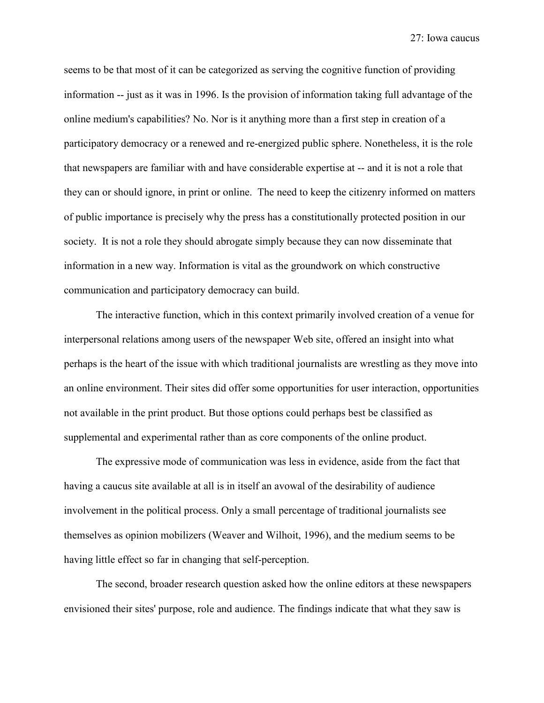seems to be that most of it can be categorized as serving the cognitive function of providing information -- just as it was in 1996. Is the provision of information taking full advantage of the online medium's capabilities? No. Nor is it anything more than a first step in creation of a participatory democracy or a renewed and re-energized public sphere. Nonetheless, it is the role that newspapers are familiar with and have considerable expertise at -- and it is not a role that they can or should ignore, in print or online. The need to keep the citizenry informed on matters of public importance is precisely why the press has a constitutionally protected position in our society. It is not a role they should abrogate simply because they can now disseminate that information in a new way. Information is vital as the groundwork on which constructive communication and participatory democracy can build.

The interactive function, which in this context primarily involved creation of a venue for interpersonal relations among users of the newspaper Web site, offered an insight into what perhaps is the heart of the issue with which traditional journalists are wrestling as they move into an online environment. Their sites did offer some opportunities for user interaction, opportunities not available in the print product. But those options could perhaps best be classified as supplemental and experimental rather than as core components of the online product.

The expressive mode of communication was less in evidence, aside from the fact that having a caucus site available at all is in itself an avowal of the desirability of audience involvement in the political process. Only a small percentage of traditional journalists see themselves as opinion mobilizers (Weaver and Wilhoit, 1996), and the medium seems to be having little effect so far in changing that self-perception.

The second, broader research question asked how the online editors at these newspapers envisioned their sites' purpose, role and audience. The findings indicate that what they saw is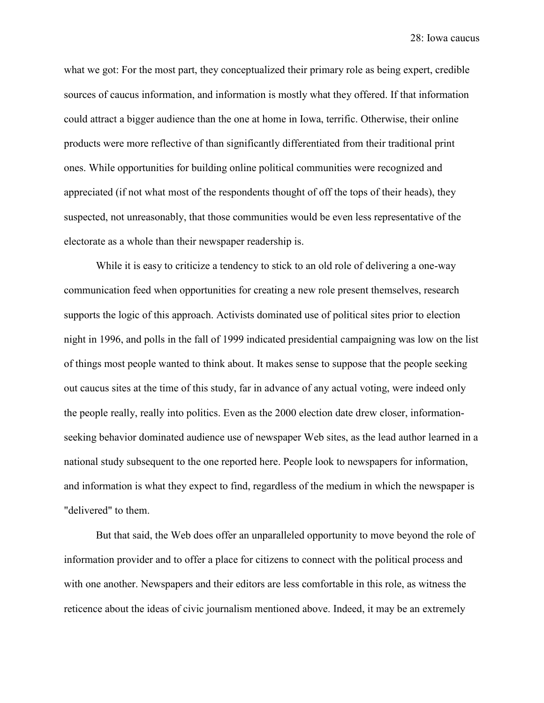what we got: For the most part, they conceptualized their primary role as being expert, credible sources of caucus information, and information is mostly what they offered. If that information could attract a bigger audience than the one at home in Iowa, terrific. Otherwise, their online products were more reflective of than significantly differentiated from their traditional print ones. While opportunities for building online political communities were recognized and appreciated (if not what most of the respondents thought of off the tops of their heads), they suspected, not unreasonably, that those communities would be even less representative of the electorate as a whole than their newspaper readership is.

While it is easy to criticize a tendency to stick to an old role of delivering a one-way communication feed when opportunities for creating a new role present themselves, research supports the logic of this approach. Activists dominated use of political sites prior to election night in 1996, and polls in the fall of 1999 indicated presidential campaigning was low on the list of things most people wanted to think about. It makes sense to suppose that the people seeking out caucus sites at the time of this study, far in advance of any actual voting, were indeed only the people really, really into politics. Even as the 2000 election date drew closer, informationseeking behavior dominated audience use of newspaper Web sites, as the lead author learned in a national study subsequent to the one reported here. People look to newspapers for information, and information is what they expect to find, regardless of the medium in which the newspaper is "delivered" to them.

But that said, the Web does offer an unparalleled opportunity to move beyond the role of information provider and to offer a place for citizens to connect with the political process and with one another. Newspapers and their editors are less comfortable in this role, as witness the reticence about the ideas of civic journalism mentioned above. Indeed, it may be an extremely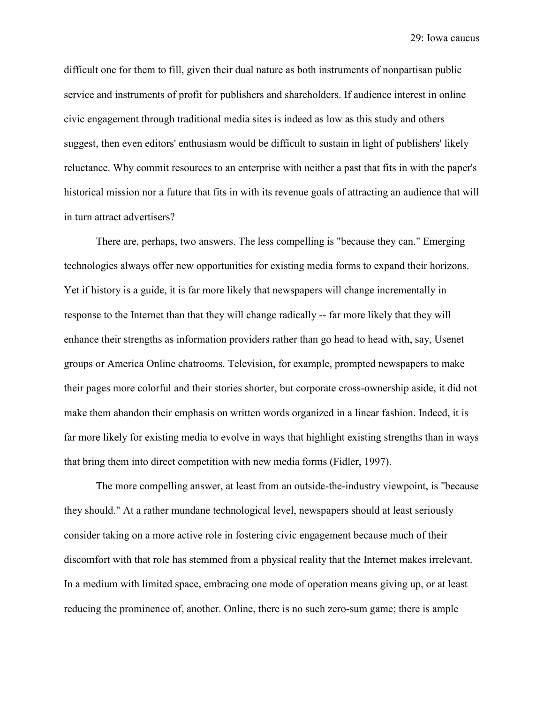difficult one for them to fill, given their dual nature as both instruments of nonpartisan public service and instruments of profit for publishers and shareholders. If audience interest in online civic engagement through traditional media sites is indeed as low as this study and others suggest, then even editors' enthusiasm would be difficult to sustain in light of publishers' likely reluctance. Why commit resources to an enterprise with neither a past that fits in with the paper's historical mission nor a future that fits in with its revenue goals of attracting an audience that will in turn attract advertisers?

There are, perhaps, two answers. The less compelling is "because they can." Emerging technologies always offer new opportunities for existing media forms to expand their horizons. Yet if history is a guide, it is far more likely that newspapers will change incrementally in response to the Internet than that they will change radically -- far more likely that they will enhance their strengths as information providers rather than go head to head with, say, Usenet groups or America Online chatrooms. Television, for example, prompted newspapers to make their pages more colorful and their stories shorter, but corporate cross-ownership aside, it did not make them abandon their emphasis on written words organized in a linear fashion. Indeed, it is far more likely for existing media to evolve in ways that highlight existing strengths than in ways that bring them into direct competition with new media forms (Fidler, 1997).

The more compelling answer, at least from an outside-the-industry viewpoint, is "because they should." At a rather mundane technological level, newspapers should at least seriously consider taking on a more active role in fostering civic engagement because much of their discomfort with that role has stemmed from a physical reality that the Internet makes irrelevant. In a medium with limited space, embracing one mode of operation means giving up, or at least reducing the prominence of, another. Online, there is no such zero-sum game; there is ample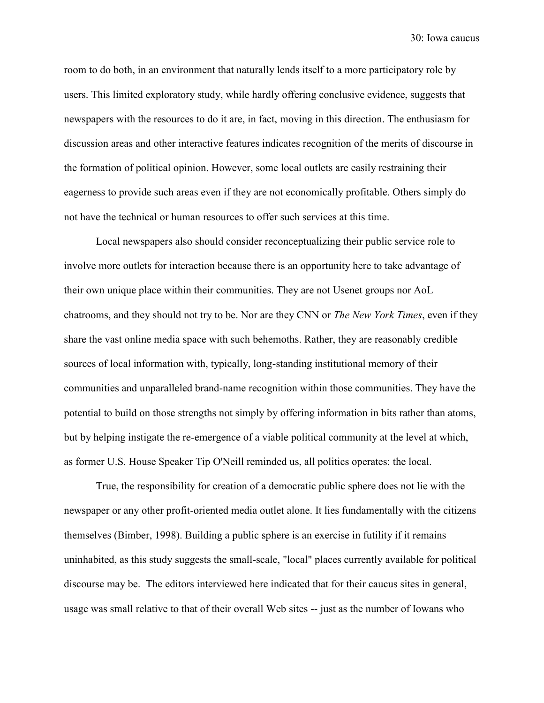room to do both, in an environment that naturally lends itself to a more participatory role by users. This limited exploratory study, while hardly offering conclusive evidence, suggests that newspapers with the resources to do it are, in fact, moving in this direction. The enthusiasm for discussion areas and other interactive features indicates recognition of the merits of discourse in the formation of political opinion. However, some local outlets are easily restraining their eagerness to provide such areas even if they are not economically profitable. Others simply do not have the technical or human resources to offer such services at this time.

Local newspapers also should consider reconceptualizing their public service role to involve more outlets for interaction because there is an opportunity here to take advantage of their own unique place within their communities. They are not Usenet groups nor AoL chatrooms, and they should not try to be. Nor are they CNN or *The New York Times*, even if they share the vast online media space with such behemoths. Rather, they are reasonably credible sources of local information with, typically, long-standing institutional memory of their communities and unparalleled brand-name recognition within those communities. They have the potential to build on those strengths not simply by offering information in bits rather than atoms, but by helping instigate the re-emergence of a viable political community at the level at which, as former U.S. House Speaker Tip O'Neill reminded us, all politics operates: the local.

True, the responsibility for creation of a democratic public sphere does not lie with the newspaper or any other profit-oriented media outlet alone. It lies fundamentally with the citizens themselves (Bimber, 1998). Building a public sphere is an exercise in futility if it remains uninhabited, as this study suggests the small-scale, "local" places currently available for political discourse may be. The editors interviewed here indicated that for their caucus sites in general, usage was small relative to that of their overall Web sites -- just as the number of Iowans who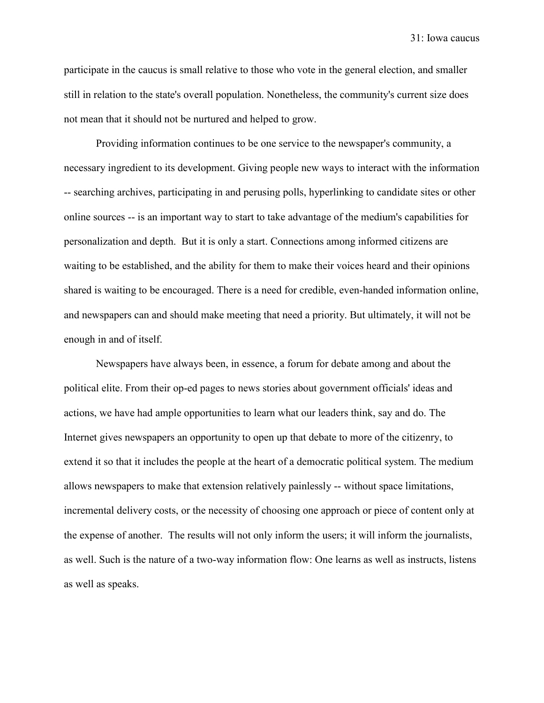participate in the caucus is small relative to those who vote in the general election, and smaller still in relation to the state's overall population. Nonetheless, the community's current size does not mean that it should not be nurtured and helped to grow.

Providing information continues to be one service to the newspaper's community, a necessary ingredient to its development. Giving people new ways to interact with the information -- searching archives, participating in and perusing polls, hyperlinking to candidate sites or other online sources -- is an important way to start to take advantage of the medium's capabilities for personalization and depth. But it is only a start. Connections among informed citizens are waiting to be established, and the ability for them to make their voices heard and their opinions shared is waiting to be encouraged. There is a need for credible, even-handed information online, and newspapers can and should make meeting that need a priority. But ultimately, it will not be enough in and of itself.

Newspapers have always been, in essence, a forum for debate among and about the political elite. From their op-ed pages to news stories about government officials' ideas and actions, we have had ample opportunities to learn what our leaders think, say and do. The Internet gives newspapers an opportunity to open up that debate to more of the citizenry, to extend it so that it includes the people at the heart of a democratic political system. The medium allows newspapers to make that extension relatively painlessly -- without space limitations, incremental delivery costs, or the necessity of choosing one approach or piece of content only at the expense of another. The results will not only inform the users; it will inform the journalists, as well. Such is the nature of a two-way information flow: One learns as well as instructs, listens as well as speaks.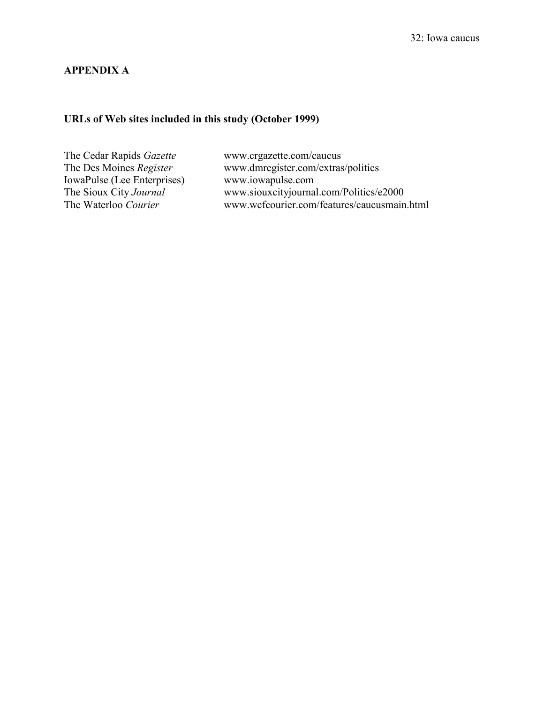## **APPENDIX A**

## **URLs of Web sites included in this study (October 1999)**

The Cedar Rapids *Gazette* www.crgazette.com/caucus<br>The Des Moines *Register* www.dmregister.com/extras IowaPulse (Lee Enterprises)<br>The Sioux City Journal

www.dmregister.com/extras/politics<br>www.iowapulse.com www.siouxcityjournal.com/Politics/e2000 The Waterloo *Courier* www.wcfcourier.com/features/caucusmain.html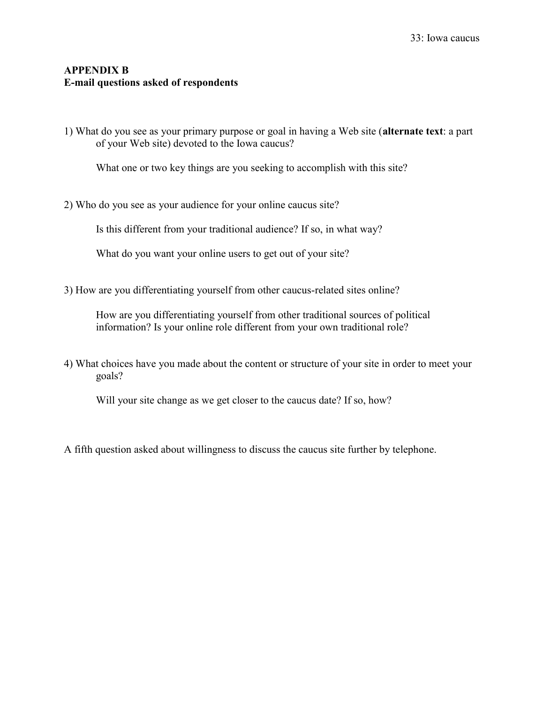### **APPENDIX B E-mail questions asked of respondents**

1) What do you see as your primary purpose or goal in having a Web site (**alternate text**: a part of your Web site) devoted to the Iowa caucus?

What one or two key things are you seeking to accomplish with this site?

2) Who do you see as your audience for your online caucus site?

Is this different from your traditional audience? If so, in what way?

What do you want your online users to get out of your site?

3) How are you differentiating yourself from other caucus-related sites online?

How are you differentiating yourself from other traditional sources of political information? Is your online role different from your own traditional role?

4) What choices have you made about the content or structure of your site in order to meet your goals?

Will your site change as we get closer to the caucus date? If so, how?

A fifth question asked about willingness to discuss the caucus site further by telephone.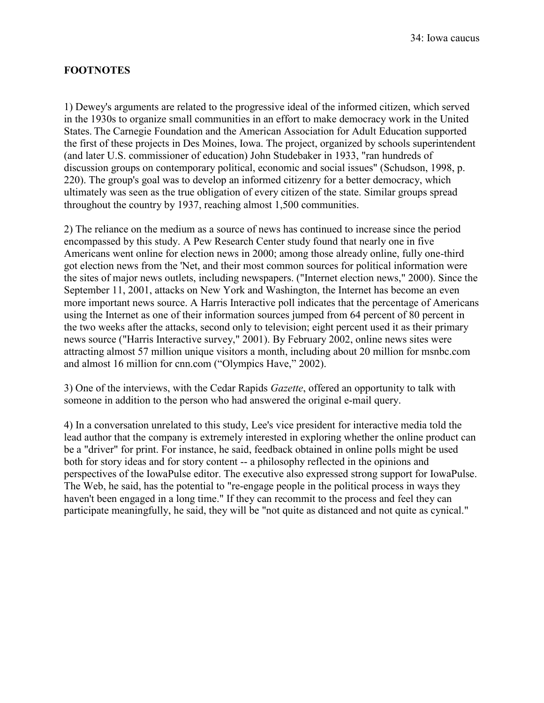### **FOOTNOTES**

1) Dewey's arguments are related to the progressive ideal of the informed citizen, which served in the 1930s to organize small communities in an effort to make democracy work in the United States. The Carnegie Foundation and the American Association for Adult Education supported the first of these projects in Des Moines, Iowa. The project, organized by schools superintendent (and later U.S. commissioner of education) John Studebaker in 1933, "ran hundreds of discussion groups on contemporary political, economic and social issues" (Schudson, 1998, p. 220). The group's goal was to develop an informed citizenry for a better democracy, which ultimately was seen as the true obligation of every citizen of the state. Similar groups spread throughout the country by 1937, reaching almost 1,500 communities.

2) The reliance on the medium as a source of news has continued to increase since the period encompassed by this study. A Pew Research Center study found that nearly one in five Americans went online for election news in 2000; among those already online, fully one-third got election news from the 'Net, and their most common sources for political information were the sites of major news outlets, including newspapers. ("Internet election news," 2000). Since the September 11, 2001, attacks on New York and Washington, the Internet has become an even more important news source. A Harris Interactive poll indicates that the percentage of Americans using the Internet as one of their information sources jumped from 64 percent of 80 percent in the two weeks after the attacks, second only to television; eight percent used it as their primary news source ("Harris Interactive survey," 2001). By February 2002, online news sites were attracting almost 57 million unique visitors a month, including about 20 million for msnbc.com and almost 16 million for cnn.com ("Olympics Have," 2002).

3) One of the interviews, with the Cedar Rapids *Gazette*, offered an opportunity to talk with someone in addition to the person who had answered the original e-mail query.

4) In a conversation unrelated to this study, Lee's vice president for interactive media told the lead author that the company is extremely interested in exploring whether the online product can be a "driver" for print. For instance, he said, feedback obtained in online polls might be used both for story ideas and for story content -- a philosophy reflected in the opinions and perspectives of the IowaPulse editor. The executive also expressed strong support for IowaPulse. The Web, he said, has the potential to "re-engage people in the political process in ways they haven't been engaged in a long time." If they can recommit to the process and feel they can participate meaningfully, he said, they will be "not quite as distanced and not quite as cynical."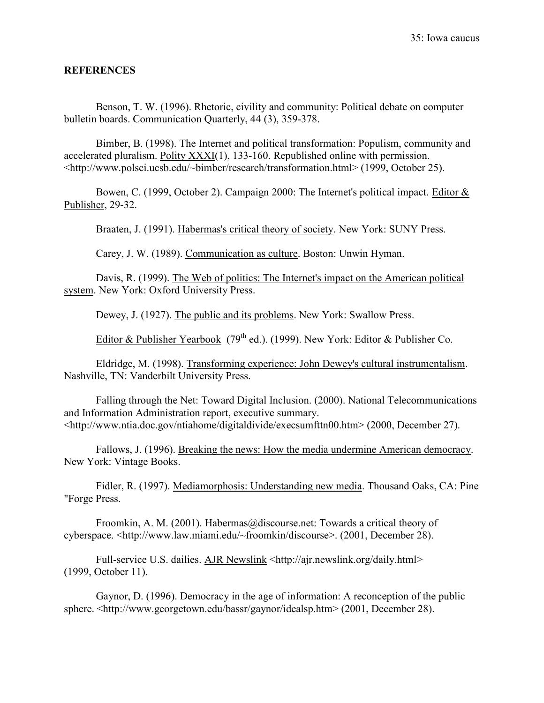#### **REFERENCES**

Benson, T. W. (1996). Rhetoric, civility and community: Political debate on computer bulletin boards. Communication Quarterly, 44 (3), 359-378.

Bimber, B. (1998). The Internet and political transformation: Populism, community and accelerated pluralism. Polity XXXI(1), 133-160. Republished online with permission. <http://www.polsci.ucsb.edu/~bimber/research/transformation.html> (1999, October 25).

Bowen, C. (1999, October 2). Campaign 2000: The Internet's political impact. Editor & Publisher, 29-32.

Braaten, J. (1991). Habermas's critical theory of society. New York: SUNY Press.

Carey, J. W. (1989). Communication as culture. Boston: Unwin Hyman.

Davis, R. (1999). The Web of politics: The Internet's impact on the American political system. New York: Oxford University Press.

Dewey, J. (1927). The public and its problems. New York: Swallow Press.

Editor & Publisher Yearbook (79<sup>th</sup> ed.). (1999). New York: Editor & Publisher Co.

Eldridge, M. (1998). Transforming experience: John Dewey's cultural instrumentalism. Nashville, TN: Vanderbilt University Press.

Falling through the Net: Toward Digital Inclusion. (2000). National Telecommunications and Information Administration report, executive summary. <http://www.ntia.doc.gov/ntiahome/digitaldivide/execsumfttn00.htm> (2000, December 27).

Fallows, J. (1996). Breaking the news: How the media undermine American democracy. New York: Vintage Books.

Fidler, R. (1997). Mediamorphosis: Understanding new media. Thousand Oaks, CA: Pine "Forge Press.

Froomkin, A. M. (2001). Habermas@discourse.net: Towards a critical theory of cyberspace. <http://www.law.miami.edu/~froomkin/discourse>. (2001, December 28).

Full-service U.S. dailies. AJR Newslink <http://ajr.newslink.org/daily.html> (1999, October 11).

Gaynor, D. (1996). Democracy in the age of information: A reconception of the public sphere. <http://www.georgetown.edu/bassr/gaynor/idealsp.htm> (2001, December 28).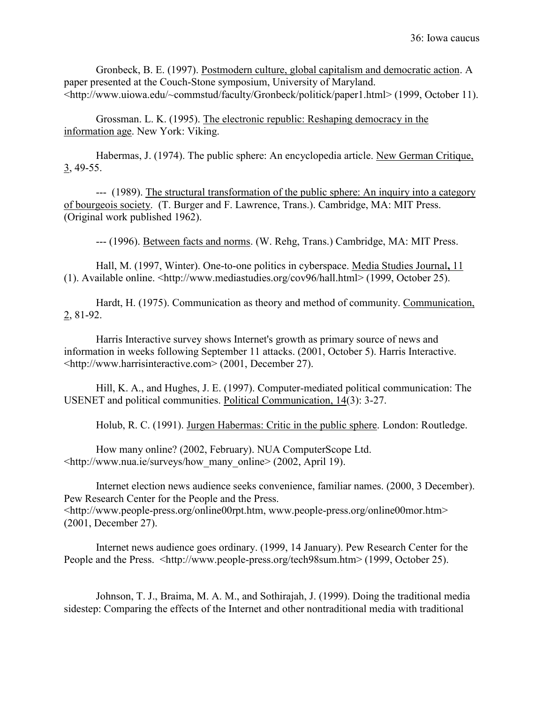Gronbeck, B. E. (1997). Postmodern culture, global capitalism and democratic action. A paper presented at the Couch-Stone symposium, University of Maryland. <http://www.uiowa.edu/~commstud/faculty/Gronbeck/politick/paper1.html> (1999, October 11).

Grossman. L. K. (1995). The electronic republic: Reshaping democracy in the information age. New York: Viking.

Habermas, J. (1974). The public sphere: An encyclopedia article. New German Critique, 3, 49-55.

--- (1989). The structural transformation of the public sphere: An inquiry into a category of bourgeois society. (T. Burger and F. Lawrence, Trans.). Cambridge, MA: MIT Press. (Original work published 1962).

--- (1996). Between facts and norms. (W. Rehg, Trans.) Cambridge, MA: MIT Press.

Hall, M. (1997, Winter). One-to-one politics in cyberspace. Media Studies Journal**,** 11 (1). Available online. <http://www.mediastudies.org/cov96/hall.html> (1999, October 25).

Hardt, H. (1975). Communication as theory and method of community. Communication, 2, 81-92.

Harris Interactive survey shows Internet's growth as primary source of news and information in weeks following September 11 attacks. (2001, October 5). Harris Interactive. <http://www.harrisinteractive.com> (2001, December 27).

Hill, K. A., and Hughes, J. E. (1997). Computer-mediated political communication: The USENET and political communities. Political Communication, 14(3): 3-27.

Holub, R. C. (1991). Jurgen Habermas: Critic in the public sphere. London: Routledge.

How many online? (2002, February). NUA ComputerScope Ltd. <http://www.nua.ie/surveys/how\_many\_online> (2002, April 19).

Internet election news audience seeks convenience, familiar names. (2000, 3 December). Pew Research Center for the People and the Press. <http://www.people-press.org/online00rpt.htm, www.people-press.org/online00mor.htm> (2001, December 27).

Internet news audience goes ordinary. (1999, 14 January). Pew Research Center for the People and the Press. <http://www.people-press.org/tech98sum.htm> (1999, October 25).

Johnson, T. J., Braima, M. A. M., and Sothirajah, J. (1999). Doing the traditional media sidestep: Comparing the effects of the Internet and other nontraditional media with traditional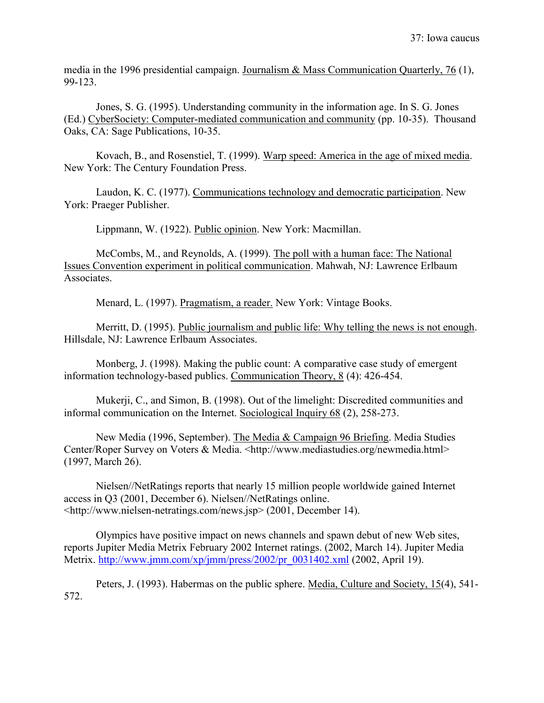media in the 1996 presidential campaign. Journalism & Mass Communication Quarterly, 76 (1), 99-123.

Jones, S. G. (1995). Understanding community in the information age. In S. G. Jones (Ed.) CyberSociety: Computer-mediated communication and community (pp. 10-35). Thousand Oaks, CA: Sage Publications, 10-35.

Kovach, B., and Rosenstiel, T. (1999). Warp speed: America in the age of mixed media. New York: The Century Foundation Press.

Laudon, K. C. (1977). Communications technology and democratic participation. New York: Praeger Publisher.

Lippmann, W. (1922). Public opinion. New York: Macmillan.

McCombs, M., and Reynolds, A. (1999). The poll with a human face: The National Issues Convention experiment in political communication. Mahwah, NJ: Lawrence Erlbaum Associates.

Menard, L. (1997). Pragmatism, a reader. New York: Vintage Books.

Merritt, D. (1995). Public journalism and public life: Why telling the news is not enough. Hillsdale, NJ: Lawrence Erlbaum Associates.

Monberg, J. (1998). Making the public count: A comparative case study of emergent information technology-based publics. Communication Theory, 8 (4): 426-454.

Mukerji, C., and Simon, B. (1998). Out of the limelight: Discredited communities and informal communication on the Internet. Sociological Inquiry 68 (2), 258-273.

New Media (1996, September). The Media & Campaign 96 Briefing. Media Studies Center/Roper Survey on Voters & Media. <http://www.mediastudies.org/newmedia.html> (1997, March 26).

Nielsen//NetRatings reports that nearly 15 million people worldwide gained Internet access in Q3 (2001, December 6). Nielsen//NetRatings online. <http://www.nielsen-netratings.com/news.jsp> (2001, December 14).

Olympics have positive impact on news channels and spawn debut of new Web sites, reports Jupiter Media Metrix February 2002 Internet ratings. (2002, March 14). Jupiter Media Metrix. [http://www.jmm.com/xp/jmm/press/2002/pr\\_0031402.xml](http://www.jmm.com/xp/jmm/press/2002/pr_0031402.xml) (2002, April 19).

Peters, J. (1993). Habermas on the public sphere. Media, Culture and Society, 15(4), 541-572.